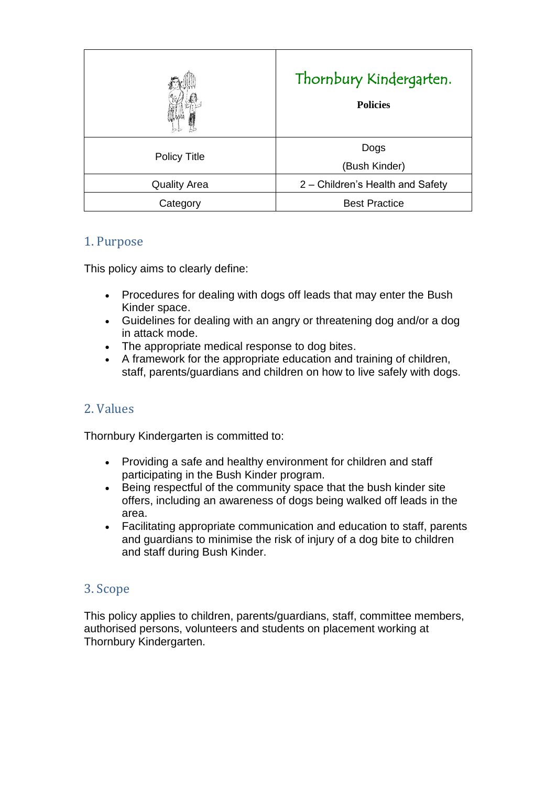|                     | Thornbury Kindergarten.<br><b>Policies</b> |
|---------------------|--------------------------------------------|
| <b>Policy Title</b> | Dogs<br>(Bush Kinder)                      |
| <b>Quality Area</b> | 2 - Children's Health and Safety           |
| Category            | <b>Best Practice</b>                       |

## 1. Purpose

This policy aims to clearly define:

- Procedures for dealing with dogs off leads that may enter the Bush Kinder space.
- Guidelines for dealing with an angry or threatening dog and/or a dog in attack mode.
- The appropriate medical response to dog bites.
- A framework for the appropriate education and training of children, staff, parents/guardians and children on how to live safely with dogs.

# 2. Values

Thornbury Kindergarten is committed to:

- Providing a safe and healthy environment for children and staff participating in the Bush Kinder program.
- Being respectful of the community space that the bush kinder site offers, including an awareness of dogs being walked off leads in the area.
- Facilitating appropriate communication and education to staff, parents and guardians to minimise the risk of injury of a dog bite to children and staff during Bush Kinder.

## 3. Scope

This policy applies to children, parents/guardians, staff, committee members, authorised persons, volunteers and students on placement working at Thornbury Kindergarten.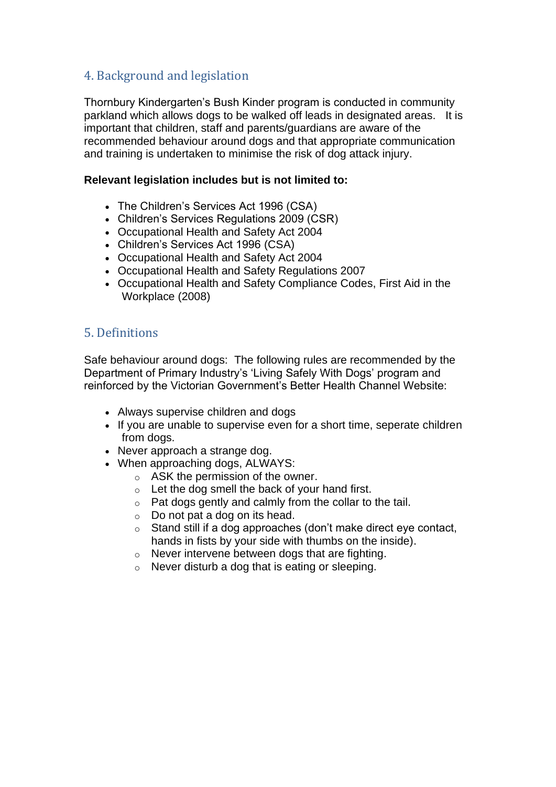# 4. Background and legislation

Thornbury Kindergarten's Bush Kinder program is conducted in community parkland which allows dogs to be walked off leads in designated areas. It is important that children, staff and parents/guardians are aware of the recommended behaviour around dogs and that appropriate communication and training is undertaken to minimise the risk of dog attack injury.

### **Relevant legislation includes but is not limited to:**

- The Children's Services Act 1996 (CSA)
- Children's Services Regulations 2009 (CSR)
- Occupational Health and Safety Act 2004
- Children's Services Act 1996 (CSA)
- Occupational Health and Safety Act 2004
- Occupational Health and Safety Regulations 2007
- Occupational Health and Safety Compliance Codes, First Aid in the Workplace (2008)

# 5. Definitions

Safe behaviour around dogs: The following rules are recommended by the Department of Primary Industry's 'Living Safely With Dogs' program and reinforced by the Victorian Government's Better Health Channel Website:

- Always supervise children and dogs
- If you are unable to supervise even for a short time, seperate children from dogs.
- Never approach a strange dog.
- When approaching dogs, ALWAYS:
	- o ASK the permission of the owner.
	- $\circ$  Let the dog smell the back of your hand first.
	- o Pat dogs gently and calmly from the collar to the tail.
	- $\circ$  Do not pat a dog on its head.
	- o Stand still if a dog approaches (don't make direct eye contact, hands in fists by your side with thumbs on the inside).
	- o Never intervene between dogs that are fighting.
	- $\circ$  Never disturb a dog that is eating or sleeping.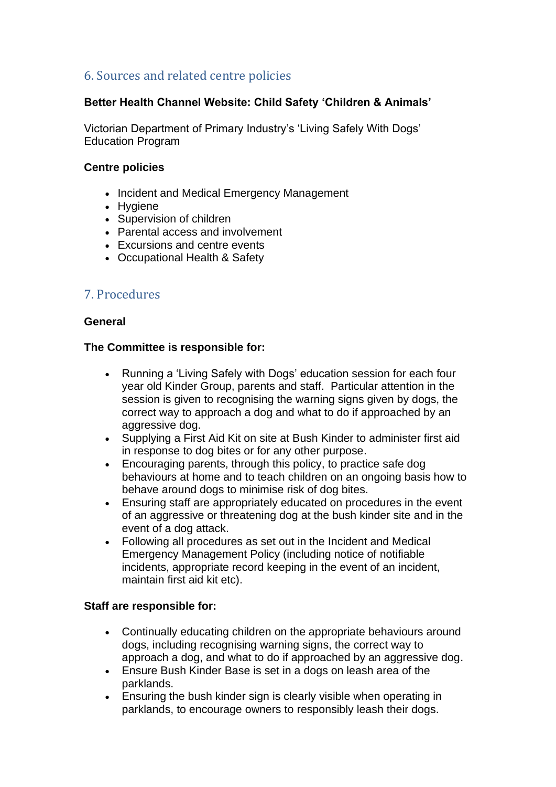# 6. Sources and related centre policies

### **Better Health Channel Website: Child Safety 'Children & Animals'**

Victorian Department of Primary Industry's 'Living Safely With Dogs' Education Program

#### **Centre policies**

- Incident and Medical Emergency Management
- Hygiene
- Supervision of children
- Parental access and involvement
- Excursions and centre events
- Occupational Health & Safety

## 7. Procedures

#### **General**

#### **The Committee is responsible for:**

- Running a 'Living Safely with Dogs' education session for each four year old Kinder Group, parents and staff. Particular attention in the session is given to recognising the warning signs given by dogs, the correct way to approach a dog and what to do if approached by an aggressive dog.
- Supplying a First Aid Kit on site at Bush Kinder to administer first aid in response to dog bites or for any other purpose.
- Encouraging parents, through this policy, to practice safe dog behaviours at home and to teach children on an ongoing basis how to behave around dogs to minimise risk of dog bites.
- Ensuring staff are appropriately educated on procedures in the event of an aggressive or threatening dog at the bush kinder site and in the event of a dog attack.
- Following all procedures as set out in the Incident and Medical Emergency Management Policy (including notice of notifiable incidents, appropriate record keeping in the event of an incident, maintain first aid kit etc).

#### **Staff are responsible for:**

- Continually educating children on the appropriate behaviours around dogs, including recognising warning signs, the correct way to approach a dog, and what to do if approached by an aggressive dog.
- Ensure Bush Kinder Base is set in a dogs on leash area of the parklands.
- Ensuring the bush kinder sign is clearly visible when operating in parklands, to encourage owners to responsibly leash their dogs.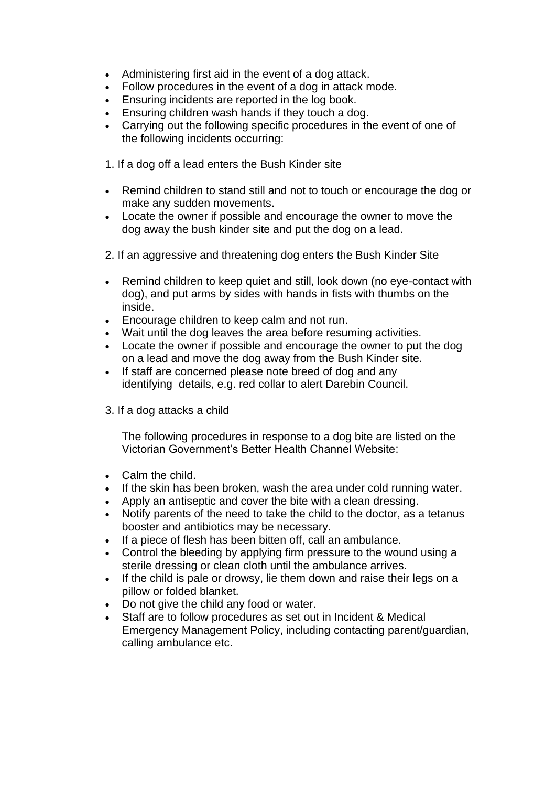- Administering first aid in the event of a dog attack.
- Follow procedures in the event of a dog in attack mode.
- Ensuring incidents are reported in the log book.
- Ensuring children wash hands if they touch a dog.
- Carrying out the following specific procedures in the event of one of the following incidents occurring:

1. If a dog off a lead enters the Bush Kinder site

- Remind children to stand still and not to touch or encourage the dog or make any sudden movements.
- Locate the owner if possible and encourage the owner to move the dog away the bush kinder site and put the dog on a lead.
- 2. If an aggressive and threatening dog enters the Bush Kinder Site
- Remind children to keep quiet and still, look down (no eye-contact with dog), and put arms by sides with hands in fists with thumbs on the inside.
- Encourage children to keep calm and not run.
- Wait until the dog leaves the area before resuming activities.
- Locate the owner if possible and encourage the owner to put the dog on a lead and move the dog away from the Bush Kinder site.
- If staff are concerned please note breed of dog and any identifying details, e.g. red collar to alert Darebin Council.
- 3. If a dog attacks a child

The following procedures in response to a dog bite are listed on the Victorian Government's Better Health Channel Website:

- Calm the child.
- If the skin has been broken, wash the area under cold running water.
- Apply an antiseptic and cover the bite with a clean dressing.
- Notify parents of the need to take the child to the doctor, as a tetanus booster and antibiotics may be necessary.
- If a piece of flesh has been bitten off, call an ambulance.
- Control the bleeding by applying firm pressure to the wound using a sterile dressing or clean cloth until the ambulance arrives.
- If the child is pale or drowsy, lie them down and raise their legs on a pillow or folded blanket.
- Do not give the child any food or water.
- Staff are to follow procedures as set out in Incident & Medical Emergency Management Policy, including contacting parent/guardian, calling ambulance etc.